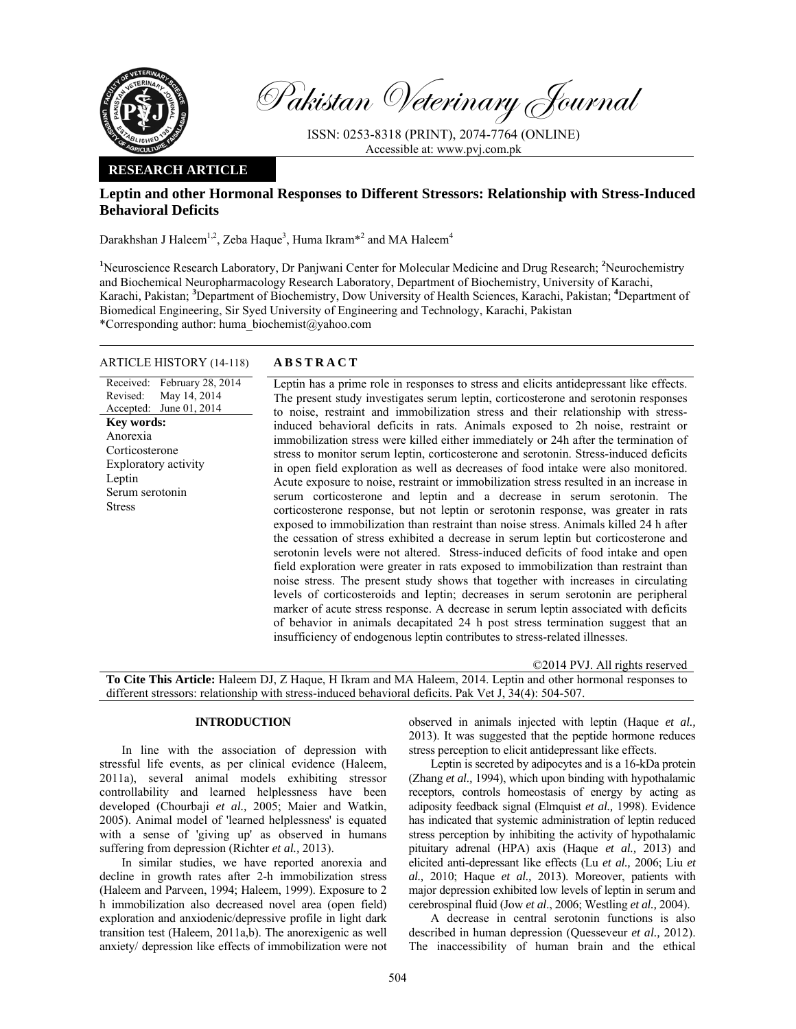

Pakistan Veterinary Journal

ISSN: 0253-8318 (PRINT), 2074-7764 (ONLINE) Accessible at: www.pvj.com.pk

## **RESEARCH ARTICLE**

# **Leptin and other Hormonal Responses to Different Stressors: Relationship with Stress-Induced Behavioral Deficits**

Darakhshan J Haleem<sup>1,2</sup>, Zeba Haque<sup>3</sup>, Huma Ikram<sup>\*2</sup> and MA Haleem<sup>4</sup>

<sup>1</sup>Neuroscience Research Laboratory, Dr Panjwani Center for Molecular Medicine and Drug Research; <sup>2</sup>Neurochemistry and Biochemical Neuropharmacology Research Laboratory, Department of Biochemistry, University of Karachi, Karachi, Pakistan; **<sup>3</sup>** Department of Biochemistry, Dow University of Health Sciences, Karachi, Pakistan; **<sup>4</sup>** Department of Biomedical Engineering, Sir Syed University of Engineering and Technology, Karachi, Pakistan \*Corresponding author: huma\_biochemist@yahoo.com

## ARTICLE HISTORY (14-118) **ABSTRACT**

Received: February 28, 2014 Revised: Accepted: May 14, 2014 June 01, 2014 Leptin has a prime role in responses to stress and elicits antidepressant like effects. The present study investigates serum leptin, corticosterone and serotonin responses to noise, restraint and immobilization stress and their relationship with stressinduced behavioral deficits in rats. Animals exposed to 2h noise, restraint or immobilization stress were killed either immediately or 24h after the termination of stress to monitor serum leptin, corticosterone and serotonin. Stress-induced deficits in open field exploration as well as decreases of food intake were also monitored. Acute exposure to noise, restraint or immobilization stress resulted in an increase in serum corticosterone and leptin and a decrease in serum serotonin. The corticosterone response, but not leptin or serotonin response, was greater in rats exposed to immobilization than restraint than noise stress. Animals killed 24 h after the cessation of stress exhibited a decrease in serum leptin but corticosterone and serotonin levels were not altered. Stress-induced deficits of food intake and open field exploration were greater in rats exposed to immobilization than restraint than noise stress. The present study shows that together with increases in circulating levels of corticosteroids and leptin; decreases in serum serotonin are peripheral marker of acute stress response. A decrease in serum leptin associated with deficits of behavior in animals decapitated 24 h post stress termination suggest that an insufficiency of endogenous leptin contributes to stress-related illnesses. **Key words:**  Anorexia Corticosterone Exploratory activity Leptin Serum serotonin Stress

©2014 PVJ. All rights reserved **To Cite This Article:** Haleem DJ, Z Haque, H Ikram and MA Haleem, 2014. Leptin and other hormonal responses to different stressors: relationship with stress-induced behavioral deficits. Pak Vet J, 34(4): 504-507.

## **INTRODUCTION**

In line with the association of depression with stressful life events, as per clinical evidence (Haleem, 2011a), several animal models exhibiting stressor controllability and learned helplessness have been developed (Chourbaji *et al.,* 2005; Maier and Watkin, 2005). Animal model of 'learned helplessness' is equated with a sense of 'giving up' as observed in humans suffering from depression (Richter *et al.,* 2013).

In similar studies, we have reported anorexia and decline in growth rates after 2-h immobilization stress (Haleem and Parveen, 1994; Haleem, 1999). Exposure to 2 h immobilization also decreased novel area (open field) exploration and anxiodenic/depressive profile in light dark transition test (Haleem, 2011a,b). The anorexigenic as well anxiety/ depression like effects of immobilization were not observed in animals injected with leptin (Haque *et al.,*  2013). It was suggested that the peptide hormone reduces stress perception to elicit antidepressant like effects.

Leptin is secreted by adipocytes and is a 16-kDa protein (Zhang *et al.,* 1994), which upon binding with hypothalamic receptors, controls homeostasis of energy by acting as adiposity feedback signal (Elmquist *et al.,* 1998). Evidence has indicated that systemic administration of leptin reduced stress perception by inhibiting the activity of hypothalamic pituitary adrenal (HPA) axis (Haque *et al.,* 2013) and elicited anti-depressant like effects (Lu *et al.,* 2006; Liu *et al.,* 2010; Haque *et al.,* 2013). Moreover, patients with major depression exhibited low levels of leptin in serum and cerebrospinal fluid (Jow *et al*., 2006; Westling *et al.,* 2004).

A decrease in central serotonin functions is also described in human depression (Quesseveur *et al.,* 2012). The inaccessibility of human brain and the ethical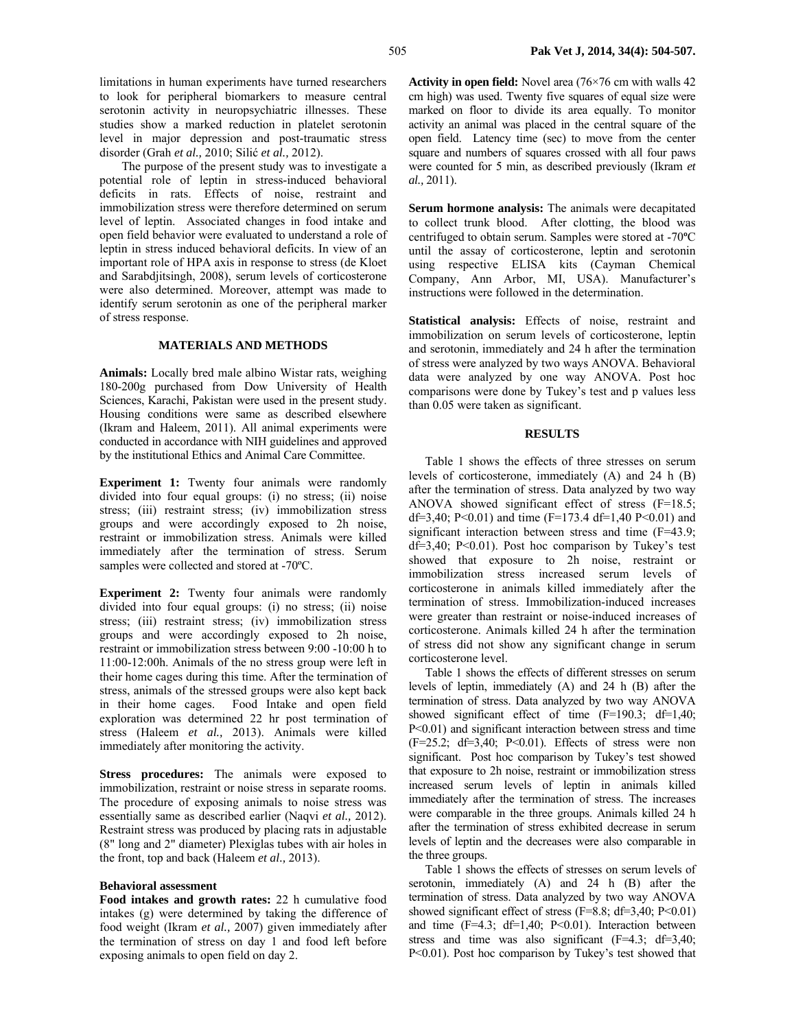limitations in human experiments have turned researchers to look for peripheral biomarkers to measure central serotonin activity in neuropsychiatric illnesses. These studies show a marked reduction in platelet serotonin level in major depression and post-traumatic stress disorder (Grah *et al.,* 2010; Silić *et al.,* 2012).

The purpose of the present study was to investigate a potential role of leptin in stress-induced behavioral deficits in rats. Effects of noise, restraint and immobilization stress were therefore determined on serum level of leptin. Associated changes in food intake and open field behavior were evaluated to understand a role of leptin in stress induced behavioral deficits. In view of an important role of HPA axis in response to stress (de Kloet and Sarabdjitsingh, 2008), serum levels of corticosterone were also determined. Moreover, attempt was made to identify serum serotonin as one of the peripheral marker of stress response.

#### **MATERIALS AND METHODS**

**Animals:** Locally bred male albino Wistar rats, weighing 180-200g purchased from Dow University of Health Sciences, Karachi, Pakistan were used in the present study. Housing conditions were same as described elsewhere (Ikram and Haleem, 2011). All animal experiments were conducted in accordance with NIH guidelines and approved by the institutional Ethics and Animal Care Committee.

**Experiment 1:** Twenty four animals were randomly divided into four equal groups: (i) no stress; (ii) noise stress; (iii) restraint stress; (iv) immobilization stress groups and were accordingly exposed to 2h noise, restraint or immobilization stress. Animals were killed immediately after the termination of stress. Serum samples were collected and stored at -70ºC.

**Experiment 2:** Twenty four animals were randomly divided into four equal groups: (i) no stress; (ii) noise stress; (iii) restraint stress; (iv) immobilization stress groups and were accordingly exposed to 2h noise, restraint or immobilization stress between 9:00 -10:00 h to 11:00-12:00h. Animals of the no stress group were left in their home cages during this time. After the termination of stress, animals of the stressed groups were also kept back in their home cages. Food Intake and open field exploration was determined 22 hr post termination of stress (Haleem *et al.,* 2013). Animals were killed immediately after monitoring the activity.

**Stress procedures:** The animals were exposed to immobilization, restraint or noise stress in separate rooms. The procedure of exposing animals to noise stress was essentially same as described earlier (Naqvi *et al.,* 2012). Restraint stress was produced by placing rats in adjustable (8" long and 2" diameter) Plexiglas tubes with air holes in the front, top and back (Haleem *et al.,* 2013).

#### **Behavioral assessment**

**Food intakes and growth rates:** 22 h cumulative food intakes (g) were determined by taking the difference of food weight (Ikram *et al.,* 2007) given immediately after the termination of stress on day 1 and food left before exposing animals to open field on day 2.

**Activity in open field:** Novel area (76×76 cm with walls 42 cm high) was used. Twenty five squares of equal size were marked on floor to divide its area equally. To monitor activity an animal was placed in the central square of the open field. Latency time (sec) to move from the center square and numbers of squares crossed with all four paws were counted for 5 min, as described previously (Ikram *et al.,* 2011).

**Serum hormone analysis:** The animals were decapitated to collect trunk blood. After clotting, the blood was centrifuged to obtain serum. Samples were stored at -70**º**C until the assay of corticosterone, leptin and serotonin using respective ELISA kits (Cayman Chemical Company, Ann Arbor, MI, USA). Manufacturer's instructions were followed in the determination.

**Statistical analysis:** Effects of noise, restraint and immobilization on serum levels of corticosterone, leptin and serotonin, immediately and 24 h after the termination of stress were analyzed by two ways ANOVA. Behavioral data were analyzed by one way ANOVA. Post hoc comparisons were done by Tukey's test and p values less than 0.05 were taken as significant.

### **RESULTS**

Table 1 shows the effects of three stresses on serum levels of corticosterone, immediately (A) and 24 h (B) after the termination of stress. Data analyzed by two way ANOVA showed significant effect of stress (F=18.5; df=3,40; P<0.01) and time (F=173.4 df=1,40 P<0.01) and significant interaction between stress and time (F=43.9;  $df=3,40$ ; P<0.01). Post hoc comparison by Tukey's test showed that exposure to 2h noise, restraint or immobilization stress increased serum levels of corticosterone in animals killed immediately after the termination of stress. Immobilization-induced increases were greater than restraint or noise-induced increases of corticosterone. Animals killed 24 h after the termination of stress did not show any significant change in serum corticosterone level.

Table 1 shows the effects of different stresses on serum levels of leptin, immediately (A) and 24 h (B) after the termination of stress. Data analyzed by two way ANOVA showed significant effect of time (F=190.3; df=1,40; P<0.01) and significant interaction between stress and time  $(F=25.2; df=3,40; P<0.01)$ . Effects of stress were non significant. Post hoc comparison by Tukey's test showed that exposure to 2h noise, restraint or immobilization stress increased serum levels of leptin in animals killed immediately after the termination of stress. The increases were comparable in the three groups. Animals killed 24 h after the termination of stress exhibited decrease in serum levels of leptin and the decreases were also comparable in the three groups.

Table 1 shows the effects of stresses on serum levels of serotonin, immediately (A) and 24 h (B) after the termination of stress. Data analyzed by two way ANOVA showed significant effect of stress  $(F=8.8; df=3,40; P<0.01)$ and time  $(F=4.3; df=1,40; P<0.01)$ . Interaction between stress and time was also significant  $(F=4.3; df=3.40;$ P<0.01). Post hoc comparison by Tukey's test showed that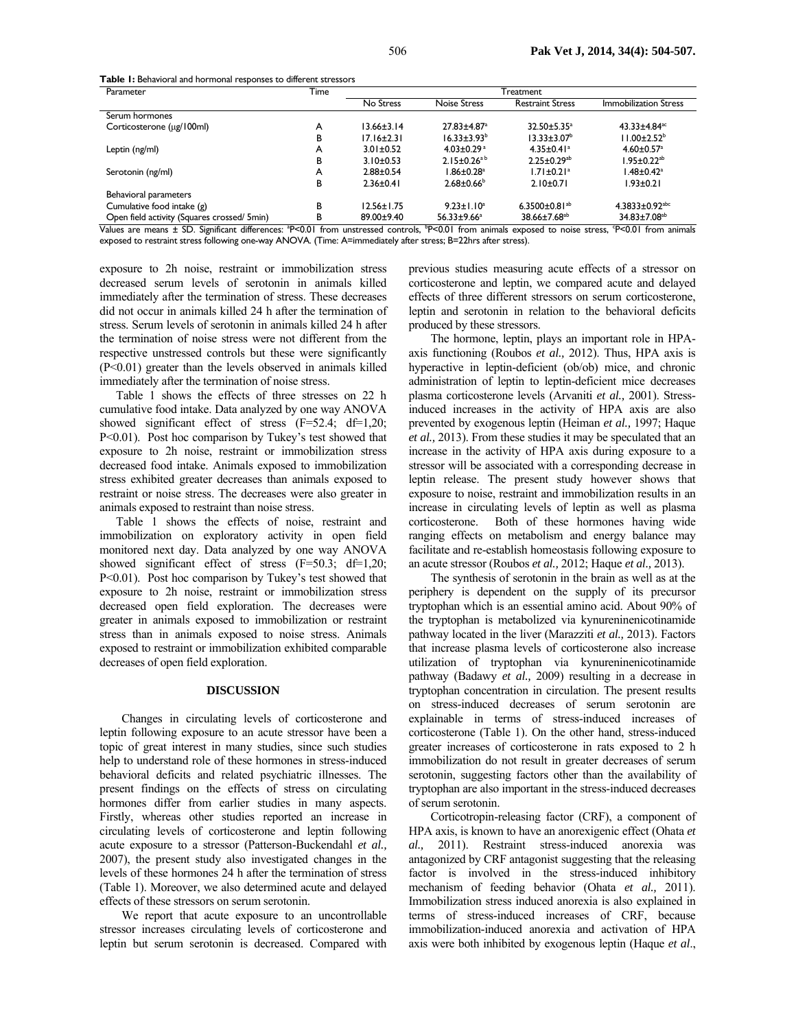**Table 1:** Behavioral and hormonal responses to different stressors

| Parameter                                   | Time | Freatment        |                               |                                 |                                  |
|---------------------------------------------|------|------------------|-------------------------------|---------------------------------|----------------------------------|
|                                             |      | No Stress        | Noise Stress                  | <b>Restraint Stress</b>         | <b>Immobilization Stress</b>     |
| Serum hormones                              |      |                  |                               |                                 |                                  |
| Corticosterone (µg/100ml)                   | А    | $13.66 \pm 3.14$ | $27.83 + 4.87$ <sup>a</sup>   | $32.50 + 5.35^a$                | $43.33 + 4.84$ <sup>ac</sup>     |
|                                             | в    | $17.16 \pm 2.31$ | $16.33 \pm 3.93^b$            | $13.33 \pm 3.07^{\circ}$        | $11.00 \pm 2.52^b$               |
| Leptin (ng/ml)                              | А    | $3.01 \pm 0.52$  | $4.03 \pm 0.29$ <sup>a</sup>  | $4.35 \pm 0.41$ <sup>a</sup>    | $4.60 \pm 0.57$ <sup>a</sup>     |
|                                             | в    | $3.10+0.53$      | $2.15 \pm 0.26$ <sup>ab</sup> | $2.25 \pm 0.29^{ab}$            | $1.95 \pm 0.22$ <sup>ab</sup>    |
| Serotonin (ng/ml)                           | А    | $2.88 \pm 0.54$  | $1.86 \pm 0.28$ <sup>a</sup>  | $1.71 \pm 0.21$ <sup>a</sup>    | $1.48 \pm 0.42$ <sup>a</sup>     |
|                                             | в    | $2.36 \pm 0.41$  | $2.68 \pm 0.66^b$             | $2.10+0.71$                     | $1.93 \pm 0.21$                  |
| Behavioral parameters                       |      |                  |                               |                                 |                                  |
| Cumulative food intake (g)                  | В    | $12.56 \pm 1.75$ | $9.23 \pm 1.10^a$             | 6.3500 $\pm$ 0.81 <sup>ab</sup> | $4.3833 \pm 0.92$ <sup>abc</sup> |
| Open field activity (Squares crossed/ 5min) | в    | 89.00±9.40       | 56.33±9.66 <sup>a</sup>       | 38.66±7.68 <sup>ab</sup>        | 34.83±7.08 <sup>ab</sup>         |

Values are means ± SD. Significant differences: <sup>a</sup>P<0.01 from unstressed controls, <sup>b</sup>P<0.01 from animals exposed to noise stress, <sup>c</sup>P<0.01 from animals exposed to restraint stress following one-way ANOVA. (Time: A=immediately after stress; B=22hrs after stress).

exposure to 2h noise, restraint or immobilization stress decreased serum levels of serotonin in animals killed immediately after the termination of stress. These decreases did not occur in animals killed 24 h after the termination of stress. Serum levels of serotonin in animals killed 24 h after the termination of noise stress were not different from the respective unstressed controls but these were significantly (P<0.01) greater than the levels observed in animals killed immediately after the termination of noise stress.

Table 1 shows the effects of three stresses on 22 h cumulative food intake. Data analyzed by one way ANOVA showed significant effect of stress (F=52.4; df=1,20; P<0.01). Post hoc comparison by Tukey's test showed that exposure to 2h noise, restraint or immobilization stress decreased food intake. Animals exposed to immobilization stress exhibited greater decreases than animals exposed to restraint or noise stress. The decreases were also greater in animals exposed to restraint than noise stress.

Table 1 shows the effects of noise, restraint and immobilization on exploratory activity in open field monitored next day. Data analyzed by one way ANOVA showed significant effect of stress (F=50.3; df=1,20; P<0.01). Post hoc comparison by Tukey's test showed that exposure to 2h noise, restraint or immobilization stress decreased open field exploration. The decreases were greater in animals exposed to immobilization or restraint stress than in animals exposed to noise stress. Animals exposed to restraint or immobilization exhibited comparable decreases of open field exploration.

#### **DISCUSSION**

Changes in circulating levels of corticosterone and leptin following exposure to an acute stressor have been a topic of great interest in many studies, since such studies help to understand role of these hormones in stress-induced behavioral deficits and related psychiatric illnesses. The present findings on the effects of stress on circulating hormones differ from earlier studies in many aspects. Firstly, whereas other studies reported an increase in circulating levels of corticosterone and leptin following acute exposure to a stressor (Patterson-Buckendahl *et al.,*  2007), the present study also investigated changes in the levels of these hormones 24 h after the termination of stress (Table 1). Moreover, we also determined acute and delayed effects of these stressors on serum serotonin.

We report that acute exposure to an uncontrollable stressor increases circulating levels of corticosterone and leptin but serum serotonin is decreased. Compared with

previous studies measuring acute effects of a stressor on corticosterone and leptin, we compared acute and delayed effects of three different stressors on serum corticosterone, leptin and serotonin in relation to the behavioral deficits produced by these stressors.

The hormone, leptin, plays an important role in HPAaxis functioning (Roubos *et al.,* 2012). Thus, HPA axis is hyperactive in leptin-deficient (ob/ob) mice, and chronic administration of leptin to leptin-deficient mice decreases plasma corticosterone levels (Arvaniti *et al.,* 2001). Stressinduced increases in the activity of HPA axis are also prevented by exogenous leptin (Heiman *et al.,* 1997; Haque *et al.,* 2013). From these studies it may be speculated that an increase in the activity of HPA axis during exposure to a stressor will be associated with a corresponding decrease in leptin release. The present study however shows that exposure to noise, restraint and immobilization results in an increase in circulating levels of leptin as well as plasma corticosterone. Both of these hormones having wide ranging effects on metabolism and energy balance may facilitate and re-establish homeostasis following exposure to an acute stressor (Roubos *et al.,* 2012; Haque *et al.,* 2013).

The synthesis of serotonin in the brain as well as at the periphery is dependent on the supply of its precursor tryptophan which is an essential amino acid. About 90% of the tryptophan is metabolized via kynureninenicotinamide pathway located in the liver (Marazziti *et al.,* 2013). Factors that increase plasma levels of corticosterone also increase utilization of tryptophan via kynureninenicotinamide pathway (Badawy *et al.,* 2009) resulting in a decrease in tryptophan concentration in circulation. The present results on stress-induced decreases of serum serotonin are explainable in terms of stress-induced increases of corticosterone (Table 1). On the other hand, stress-induced greater increases of corticosterone in rats exposed to 2 h immobilization do not result in greater decreases of serum serotonin, suggesting factors other than the availability of tryptophan are also important in the stress-induced decreases of serum serotonin.

Corticotropin-releasing factor (CRF), a component of HPA axis, is known to have an anorexigenic effect (Ohata *et al.,* 2011). Restraint stress-induced anorexia was antagonized by CRF antagonist suggesting that the releasing factor is involved in the stress-induced inhibitory mechanism of feeding behavior (Ohata *et al.,* 2011). Immobilization stress induced anorexia is also explained in terms of stress-induced increases of CRF, because immobilization-induced anorexia and activation of HPA axis were both inhibited by exogenous leptin (Haque *et al*.,